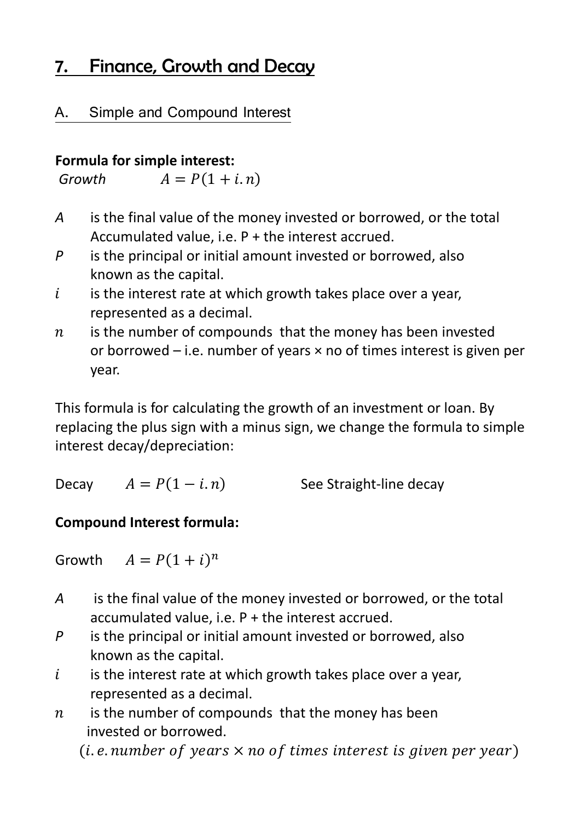# 7. Finance, Growth and Decay

#### $A_{\cdot}$ Simple and Compound Interest

#### **Formula for simple interest:**

 $Growth$   $A = P(1 + i.n)$ 

- *A* is the final value of the money invested or borrowed, or the total Accumulated value, i.e. P + the interest accrued.
- *P* is the principal or initial amount invested or borrowed, also known as the capital.
- $i$  is the interest rate at which growth takes place over a year, represented as a decimal.
- $n$  is the number of compounds that the money has been invested or borrowed  $-$  i.e. number of years  $\times$  no of times interest is given per year.

This formula is for calculating the growth of an investment or loan. By replacing the plus sign with a minus sign, we change the formula to simple interest decay/depreciation:

| See Straight-line decay |
|-------------------------|
|                         |

#### **Compound Interest formula:**

Growth  $A = P(1 + i)^n$ 

- *A* is the final value of the money invested or borrowed, or the total accumulated value, i.e. P + the interest accrued.
- *P* is the principal or initial amount invested or borrowed, also known as the capital.
- $i$  is the interest rate at which growth takes place over a year, represented as a decimal.
- $n$  is the number of compounds that the money has been invested or borrowed.

(i.e. number of years  $\times$  no of times interest is given per year)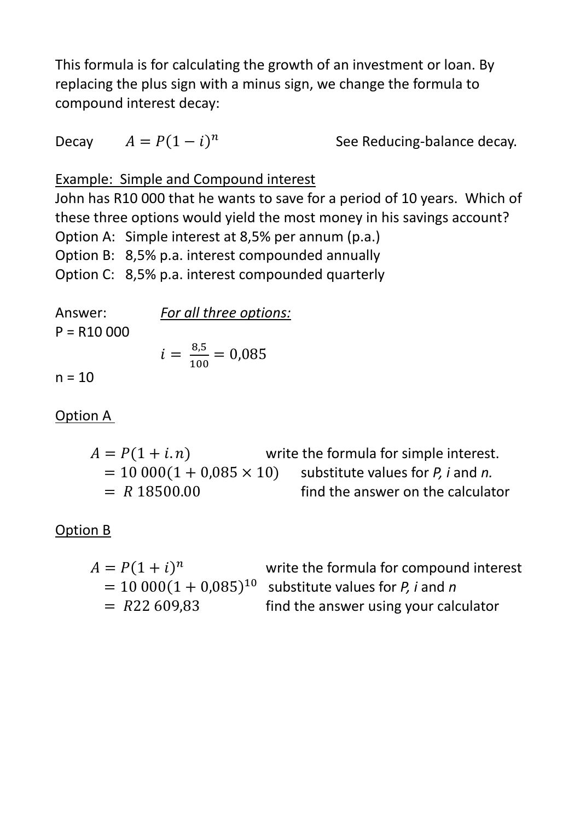This formula is for calculating the growth of an investment or loan. By replacing the plus sign with a minus sign, we change the formula to compound interest decay:

Decay  $A = P(1 - i)^n$ See Reducing-balance decay.

Example: Simple and Compound interest

John has R10 000 that he wants to save for a period of 10 years. Which of these three options would yield the most money in his savings account? Option A: Simple interest at 8,5% per annum (p.a.) Option B: 8,5% p.a. interest compounded annually Option C: 8,5% p.a. interest compounded quarterly

Answer: *For all three options:*   $P = R10000$  $i = \frac{8.5}{100}$  $\overline{5}$ 

$$
i = \frac{8.5}{100} = 0.08
$$

 $n = 10$ 

Option A

 $A = P(1 + i.n)$  write the formula for simple interest.  $= 10\,000(1 + 0.085 \times 10)$ <br>= R 18500.00 substitute values for *P, i* and *n.*  find the answer on the calculator

Option B

| $A = P(1 + i)^n$ | write the formula for compound interest                    |
|------------------|------------------------------------------------------------|
|                  | $= 10000(1 + 0.085)^{10}$ substitute values for P, i and n |
| $= R22609,83$    | find the answer using your calculator                      |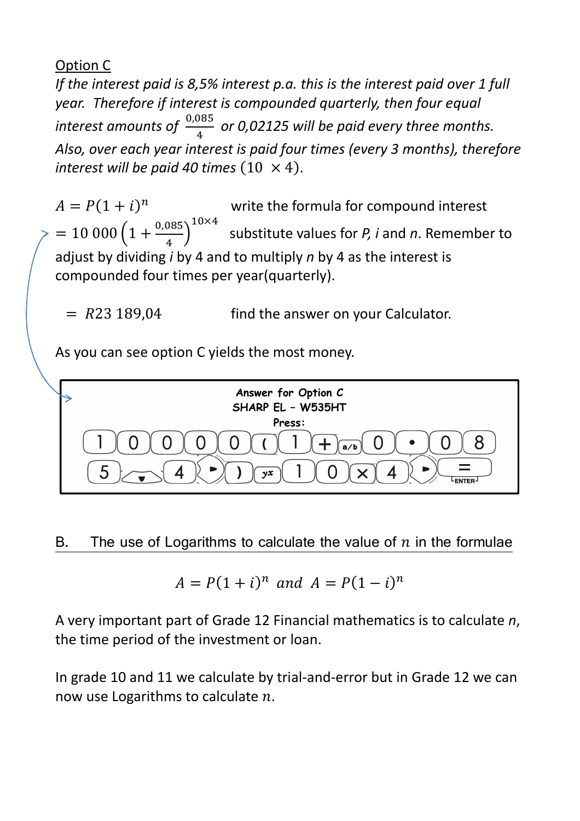### Option C

*If the interest paid is 8,5% interest p.a. this is the interest paid over 1 full year. Therefore if interest is compounded quarterly, then four equal*   $\emph{interest amounts of } \frac{0,085}{4}$ \*  *or 0,02125 will be paid every three months. Also, over each year interest is paid four times (every 3 months), therefore interest will be paid 40 times*  $(10 \times 4)$ .

 $A = P(1 + i)^n$  write the formula for compound interest  $= 10\ 000 \left(1 + \frac{0.085}{4}\right)$  $10\times4$  substitute values for *P, i* and *n*. Remember to adjust by dividing *i* by 4 and to multiply *n* by 4 as the interest is compounded four times per year(quarterly).

 $= R23 189.04$  find the answer on your Calculator.

As you can see option C yields the most money.



#### $B.$ The use of Logarithms to calculate the value of  $n$  in the formulae

$$
A = P(1+i)^n \text{ and } A = P(1-i)^n
$$

A very important part of Grade 12 Financial mathematics is to calculate *n*, the time period of the investment or loan.

In grade 10 and 11 we calculate by trial-and-error but in Grade 12 we can now use Logarithms to calculate  $n$ .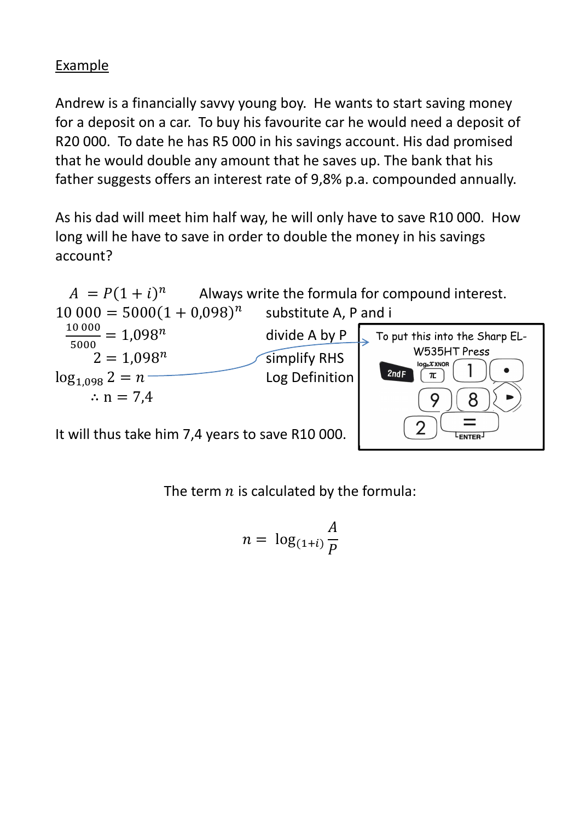## Example

Andrew is a financially savvy young boy. He wants to start saving money for a deposit on a car. To buy his favourite car he would need a deposit of R20 000. To date he has R5 000 in his savings account. His dad promised that he would double any amount that he saves up. The bank that his father suggests offers an interest rate of 9,8% p.a. compounded annually.

As his dad will meet him half way, he will only have to save R10 000. How long will he have to save in order to double the money in his savings account?



The term  $n$  is calculated by the formula:

$$
n = \log_{(1+i)} \frac{A}{P}
$$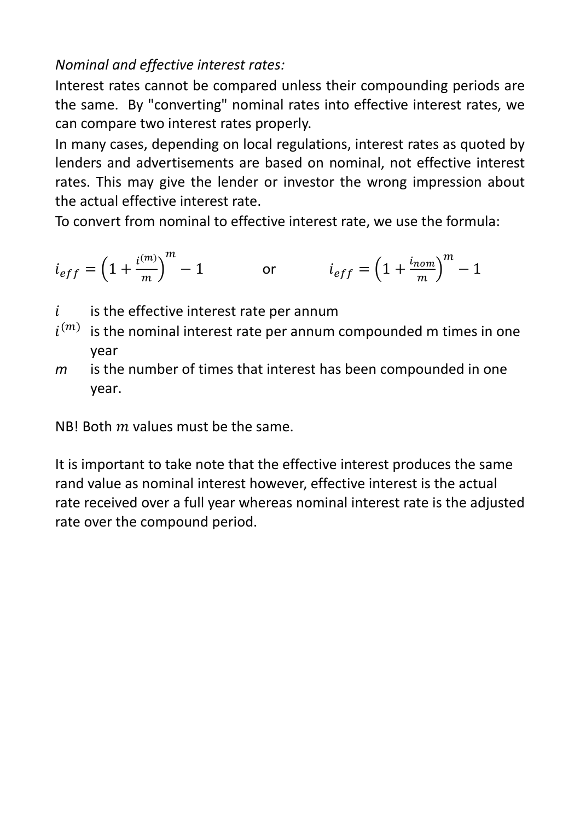## *Nominal and effective interest rates:*

Interest rates cannot be compared unless their compounding periods are the same. By "converting" nominal rates into effective interest rates, we can compare two interest rates properly.

In many cases, depending on local regulations, interest rates as quoted by lenders and advertisements are based on nominal, not effective interest rates. This may give the lender or investor the wrong impression about the actual effective interest rate.

To convert from nominal to effective interest rate, we use the formula:

$$
i_{eff} = \left(1 + \frac{i^{(m)}}{m}\right)^m - 1
$$
 or 
$$
i_{eff} = \left(1 + \frac{i_{nom}}{m}\right)^m - 1
$$

- $i$  is the effective interest rate per annum
- $i^{(m)}$  is the nominal interest rate per annum compounded m times in one year
- *m* is the number of times that interest has been compounded in one year.

NBI Both  *values must be the same.* 

It is important to take note that the effective interest produces the same rand value as nominal interest however, effective interest is the actual rate received over a full year whereas nominal interest rate is the adjusted rate over the compound period.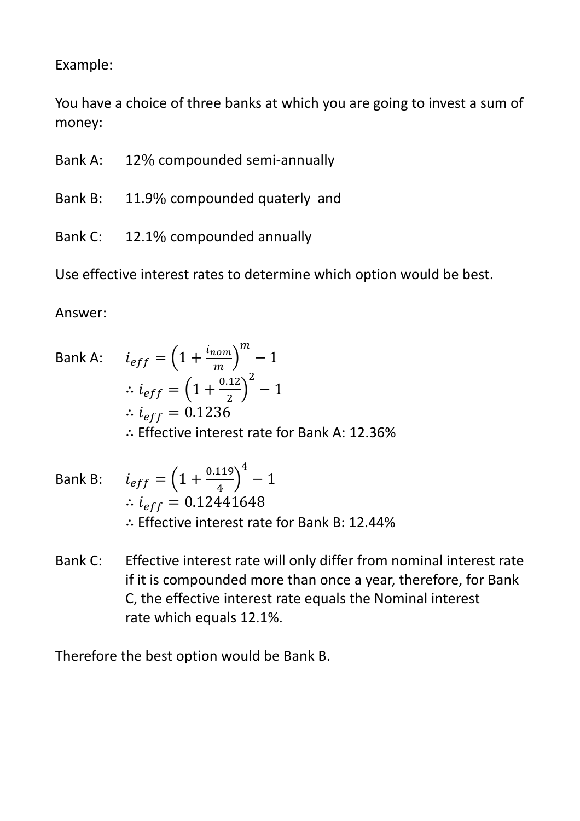Example:

You have a choice of three banks at which you are going to invest a sum of money:

- Bank A: 12% compounded semi-annually
- Bank B: 11.9% compounded quaterly and
- Bank C: 12.1% compounded annually

Use effective interest rates to determine which option would be best.

Answer:

Bank A: 
$$
i_{eff} = \left(1 + \frac{i_{nom}}{m}\right)^m - 1
$$
  
\n $\therefore i_{eff} = \left(1 + \frac{0.12}{2}\right)^2 - 1$   
\n $\therefore i_{eff} = 0.1236$   
\n $\therefore$  Effective interest rate for Bank A: 12.36%

- Bank B:  $i_{eff} = \left(1 + \frac{0.119}{4}\right)$ \*  $-1$ ∴  $i_{eff} = 0.12441648$ ∴ Effective interest rate for Bank B: 12.44%
- Bank C: Effective interest rate will only differ from nominal interest rate if it is compounded more than once a year, therefore, for Bank C, the effective interest rate equals the Nominal interest rate which equals 12.1%.

Therefore the best option would be Bank B.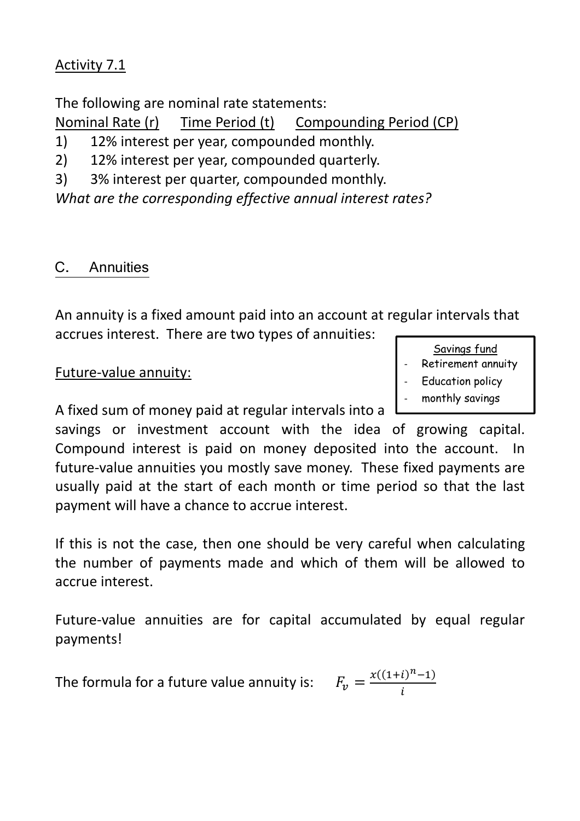## Activity 7.1

The following are nominal rate statements:

Nominal Rate (r) Time Period (t) Compounding Period (CP)

1) 12% interest per year, compounded monthly.

2) 12% interest per year, compounded quarterly.

3) 3% interest per quarter, compounded monthly.

*What are the corresponding effective annual interest rates?* 

#### C-**Annuities**

An annuity is a fixed amount paid into an account at regular intervals that accrues interest. There are two types of annuities:

#### Future-value annuity:

A fixed sum of money paid at regular intervals into a

savings or investment account with the idea of growing capital. Compound interest is paid on money deposited into the account. In future-value annuities you mostly save money. These fixed payments are usually paid at the start of each month or time period so that the last payment will have a chance to accrue interest.

If this is not the case, then one should be very careful when calculating the number of payments made and which of them will be allowed to accrue interest.

Future-value annuities are for capital accumulated by equal regular payments!

The formula for a future value annuity is:  $x((1+i)^n-1)$ l

| Savings fund            |
|-------------------------|
| Retirement annuity      |
| <b>Education policy</b> |

monthly savings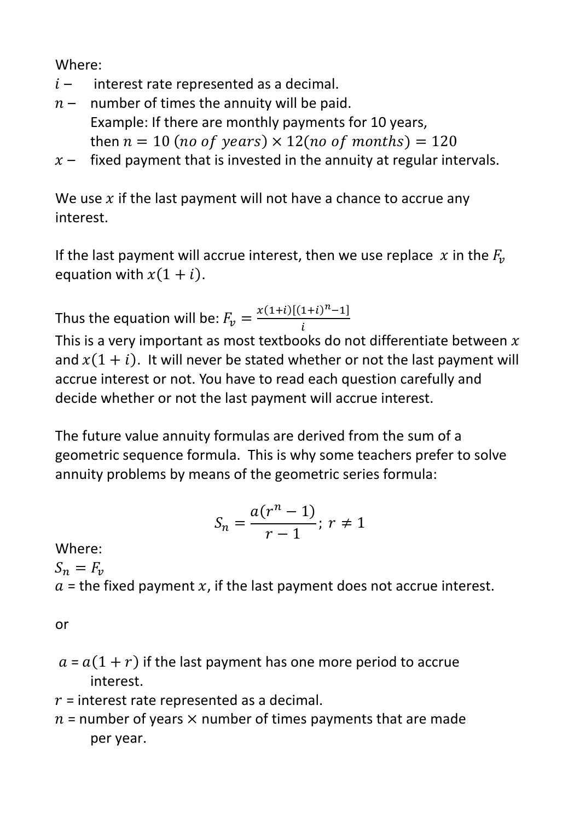Where:

- $i$  interest rate represented as a decimal.
- $n-$  number of times the annuity will be paid. Example: If there are monthly payments for 10 years, then  $n = 10$  (no of years)  $\times$  12(no of months) = 120
- $x$  fixed payment that is invested in the annuity at regular intervals.

We use  $x$  if the last payment will not have a chance to accrue any interest.

If the last payment will accrue interest, then we use replace  $x$  in the  $F_n$ equation with  $x(1 + i)$ .

Thus the equation will be:  $F_v = \frac{x(1+i)[(1+i)^n - 1]}{i}$  $\tilde{l}$ 

This is a very important as most textbooks do not differentiate between  $x$ and  $x(1 + i)$ . It will never be stated whether or not the last payment will accrue interest or not. You have to read each question carefully and decide whether or not the last payment will accrue interest.

The future value annuity formulas are derived from the sum of a geometric sequence formula. This is why some teachers prefer to solve annuity problems by means of the geometric series formula:

$$
S_n = \frac{a(r^n - 1)}{r - 1}; r \neq 1
$$

Where:  $S_n = F_v$  $a$  = the fixed payment x, if the last payment does not accrue interest.

or

- $a = a(1 + r)$  if the last payment has one more period to accrue interest.
- $r$  = interest rate represented as a decimal.
- $n$  = number of years  $\times$  number of times payments that are made per year.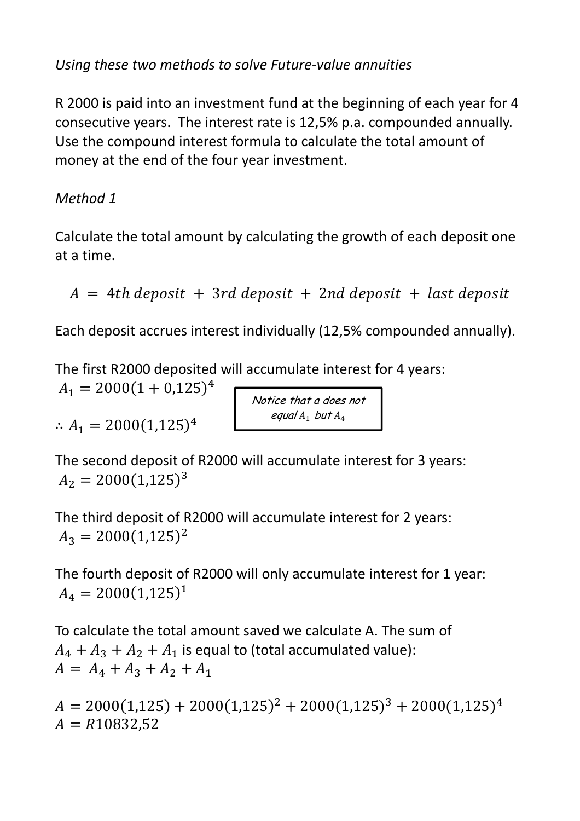*Using these two methods to solve Future-value annuities* 

R 2000 is paid into an investment fund at the beginning of each year for 4 consecutive years. The interest rate is 12,5% p.a. compounded annually. Use the compound interest formula to calculate the total amount of money at the end of the four year investment.

*Method 1* 

Calculate the total amount by calculating the growth of each deposit one at a time.

 $A = 4th$  deposit + 3rd deposit + 2nd deposit + last deposit

Each deposit accrues interest individually (12,5% compounded annually).

Notice that a does not equal  $A_1$  but  $A_4$ 

The first R2000 deposited will accumulate interest for 4 years:

 $A_1 = 2000(1 + 0.125)^4$ 

 $\therefore A_1 = 2000(1,125)^4$ 

The second deposit of R2000 will accumulate interest for 3 years:  $A_2 = 2000(1,125)^3$ 

The third deposit of R2000 will accumulate interest for 2 years:  $A_3 = 2000(1,125)^2$ 

The fourth deposit of R2000 will only accumulate interest for 1 year:  $A_4 = 2000(1,125)^1$ 

To calculate the total amount saved we calculate A. The sum of  $A_4 + A_3 + A_2 + A_1$  is equal to (total accumulated value):  $A = A_4 + A_3 + A_2 + A_1$ 

 $A = 2000(1,125) + 2000(1,125)^2 + 2000(1,125)^3 + 2000(1,125)^4$  $A = R10832,52$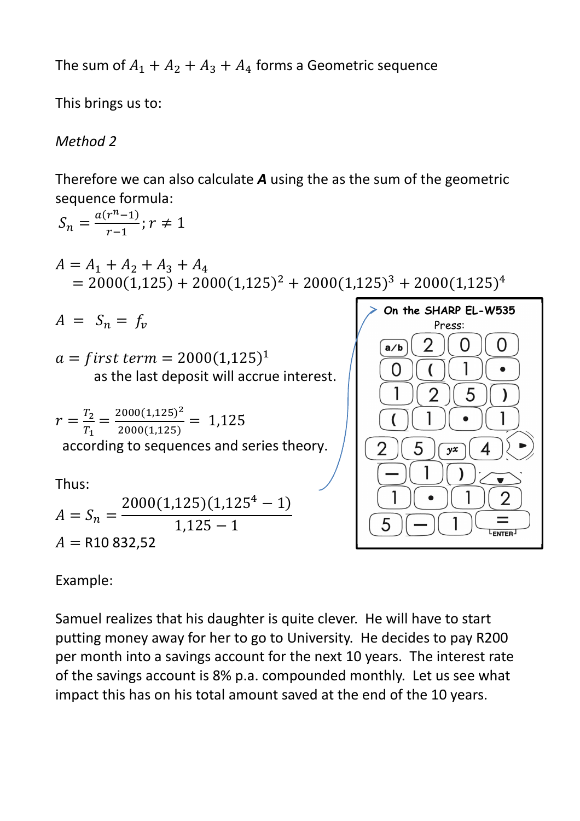The sum of  $A_1 + A_2 + A_3 + A_4$  forms a Geometric sequence

This brings us to:

## *Method 2*

Therefore we can also calculate *A* using the as the sum of the geometric sequence formula:

$$
S_n = \frac{a(r^n - 1)}{r - 1}; r \neq 1
$$
\n
$$
A = A_1 + A_2 + A_3 + A_4
$$
\n
$$
= 2000(1,125) + 2000(1,125)^2 + 2000(1,125)^3 + 2000(1,125)^4
$$
\n
$$
A = S_n = f_v
$$
\n
$$
a = first \text{ term} = 2000(1,125)^1
$$
\n
$$
r = \frac{T_2}{T_1} = \frac{2000(1,125)^2}{2000(1,125)} = 1,125
$$
\naccording to sequences and series theory.\n
$$
A = S_n = \frac{2000(1,125)(1,125^4 - 1)}{1,125 - 1}
$$
\n
$$
A = R10 832,52
$$
\n
$$
A = R10 832,52
$$

Example:

Samuel realizes that his daughter is quite clever. He will have to start putting money away for her to go to University. He decides to pay R200 per month into a savings account for the next 10 years. The interest rate of the savings account is 8% p.a. compounded monthly. Let us see what impact this has on his total amount saved at the end of the 10 years.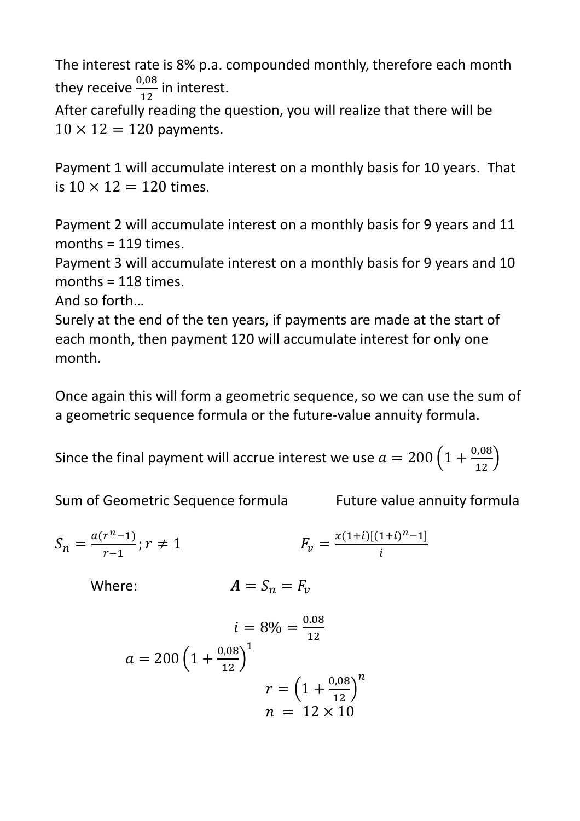The interest rate is 8% p.a. compounded monthly, therefore each month they receive  $\frac{0.08}{43}$ in interest.

 ? After carefully reading the question, you will realize that there will be  $10 \times 12 = 120$  payments.

Payment 1 will accumulate interest on a monthly basis for 10 years. That is  $10 \times 12 = 120$  times.

Payment 2 will accumulate interest on a monthly basis for 9 years and 11  $months = 119 \times$ 

Payment 3 will accumulate interest on a monthly basis for 9 years and 10 months = 118 times.

And so forth…

Surely at the end of the ten years, if payments are made at the start of each month, then payment 120 will accumulate interest for only one month.

Once again this will form a geometric sequence, so we can use the sum of a geometric sequence formula or the future-value annuity formula.

Since the final payment will accrue interest we use  $a = 200 \left(1 + \frac{0.08}{12}\right)$ 

Sum of Geometric Sequence formula Future value annuity formula

$$
S_n = \frac{a(r^n - 1)}{r - 1}; r \neq 1 \qquad F_v = \frac{x(1+i)[(1+i)^n - 1]}{i}
$$

Where:  $\overline{\phantom{a}}$ 

$$
A=S_n=F_\nu
$$

$$
i = 8\% = \frac{0.08}{12}
$$

$$
a = 200 \left(1 + \frac{0.08}{12}\right)^{1}
$$

$$
r = \left(1 + \frac{0.08}{12}\right)^{n}
$$

$$
n = 12 \times 10
$$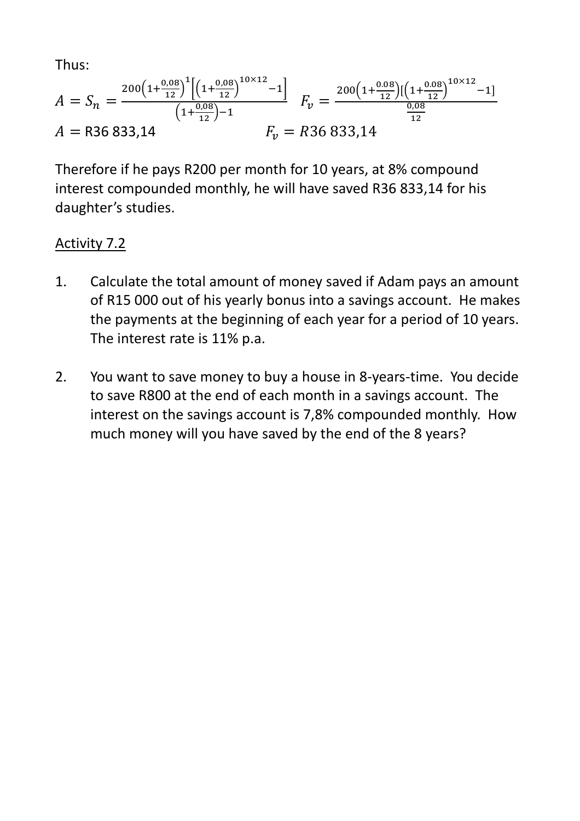Thus:

$$
A = S_n = \frac{200 \left(1 + \frac{0.08}{12}\right)^1 \left[\left(1 + \frac{0.08}{12}\right)^{10 \times 12} - 1\right]}{\left(1 + \frac{0.08}{12}\right) - 1} \quad F_v = \frac{200 \left(1 + \frac{0.08}{12}\right) \left[\left(1 + \frac{0.08}{12}\right)^{10 \times 12} - 1\right]}{\frac{0.08}{12}}
$$
  
A = R36 833,14 
$$
F_v = R36 833,14
$$

Therefore if he pays R200 per month for 10 years, at 8% compound interest compounded monthly, he will have saved R36 833,14 for his daughter's studies.

## Activity 7.2

- 1. Calculate the total amount of money saved if Adam pays an amount of R15 000 out of his yearly bonus into a savings account. He makes the payments at the beginning of each year for a period of 10 years. The interest rate is 11% p.a.
- 2. You want to save money to buy a house in 8-years-time. You decide to save R800 at the end of each month in a savings account. The interest on the savings account is 7,8% compounded monthly. How much money will you have saved by the end of the 8 years?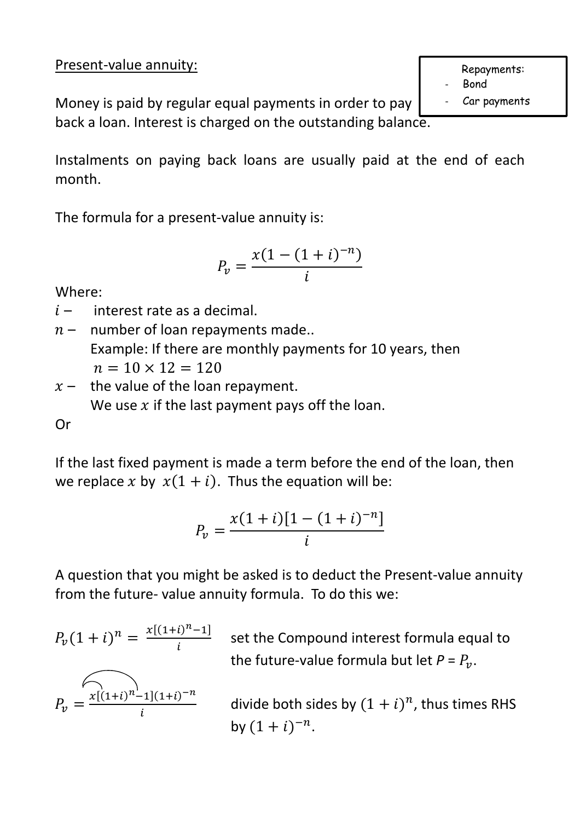Present-value annuity:

Money is paid by regular equal payments in order to pay back a loan. Interest is charged on the outstanding balance.

Instalments on paying back loans are usually paid at the end of each month.

The formula for a present-value annuity is:

$$
P_v = \frac{x(1 - (1 + i)^{-n})}{i}
$$

Where:

 $i$  – interest rate as a decimal.

- $n-$  number of loan repayments made.. Example: If there are monthly payments for 10 years, then  $n = 10 \times 12 = 120$
- $x$  the value of the loan repayment. We use  $x$  if the last payment pays off the loan.

## Or

If the last fixed payment is made a term before the end of the loan, then we replace x by  $x(1 + i)$ . Thus the equation will be:

$$
P_v = \frac{x(1+i)[1-(1+i)^{-n}]}{i}
$$

A question that you might be asked is to deduct the Present-value annuity from the future- value annuity formula. To do this we:

$$
P_v(1+i)^n = \frac{x[(1+i)^{n}-1]}{i}
$$

 set the Compound interest formula equal to the future-value formula but let  $P = P_v$ .

$$
P_v = \frac{\sqrt{[(1+i)^n - 1](1+i)^{-n}}}{i}
$$

divide both sides by  $(1 + i)^n$ , thus times RHS by  $(1 + i)^{-n}$ .

Repayments:

Bond

Car payments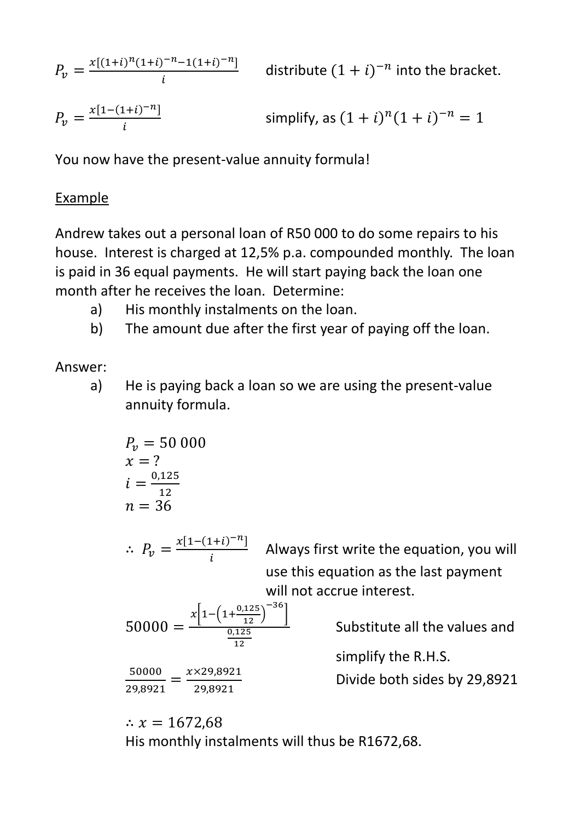$P_v = \frac{x[(1+i)^n(1+i)^{-n}-1(1+i)^{-n}]}{i}$  $\frac{1}{i}$  distribute  $(1+i)^{-n}$  into the bracket.

$$
P_v = \frac{x[1-(1+i)^{-n}]}{i}
$$
 simply, as  $(1+i)^n(1+i)^{-n} = 1$ 

You now have the present-value annuity formula!

#### Example

Andrew takes out a personal loan of R50 000 to do some repairs to his house. Interest is charged at 12,5% p.a. compounded monthly. The loan is paid in 36 equal payments. He will start paying back the loan one month after he receives the loan. Determine:

- a) His monthly instalments on the loan.
- b) The amount due after the first year of paying off the loan.

## Answer:

a) He is paying back a loan so we are using the present-value annuity formula.

$$
P_v = 50\,000
$$
  

$$
x = ?
$$
  

$$
i = \frac{0.125}{12}
$$
  

$$
n = 36
$$

 $\therefore P_v = \frac{x[1-(1+i)^{-n}]}{i}$ l Always first write the equation, you will use this equation as the last payment will not accrue interest.

$$
50000 = \frac{x \left[ 1 - \left( 1 + \frac{0.125}{12} \right)^{-36} \right]}{\frac{0.125}{12}}
$$

50000  $\frac{50000}{29,8921} = \frac{x \times 29,8921}{29,8921}$ 29,8921

Substitute all the values and

simplify the R.H.S.

Divide both sides by 29,8921

∴  $x = 1672.68$ His monthly instalments will thus be R1672,68.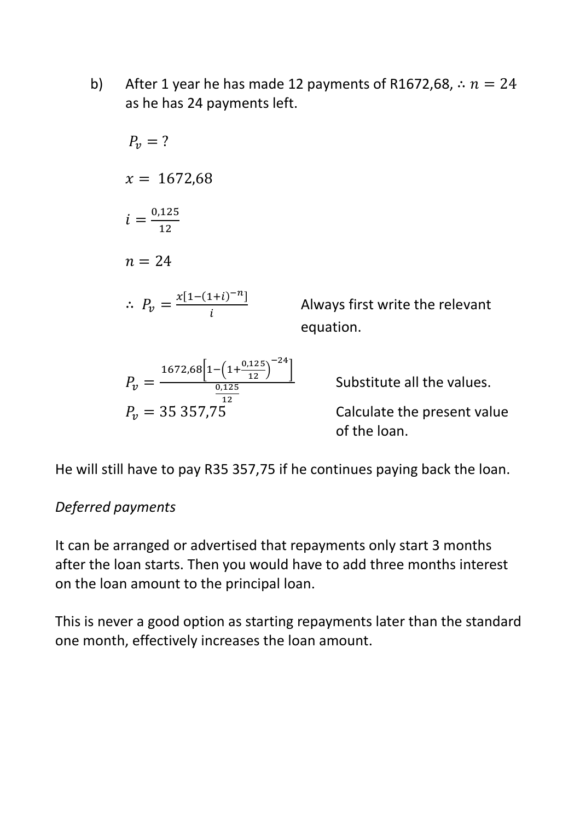b) After 1 year he has made 12 payments of R1672,68,  $\therefore$   $n = 24$ as he has 24 payments left.

$$
P_v = ?
$$
  
\n
$$
x = 1672,68
$$
  
\n
$$
i = \frac{0.125}{12}
$$
  
\n
$$
n = 24
$$
  
\n
$$
\therefore P_v = \frac{x[1-(1+i)^{-n}]}{i}
$$

 Always first write the relevant equation.

$$
P_v = \frac{1672,68\left[1 - \left(1 + \frac{0.125}{12}\right)^{-24}\right]}{\frac{0.125}{12}}
$$
  

$$
P_v = 35357.75
$$

Substitute all the values.

 $P_v = 35\,357.75$  Calculate the present value of the loan.

He will still have to pay R35 357,75 if he continues paying back the loan.

### *Deferred payments*

It can be arranged or advertised that repayments only start 3 months after the loan starts. Then you would have to add three months interest on the loan amount to the principal loan.

This is never a good option as starting repayments later than the standard one month, effectively increases the loan amount.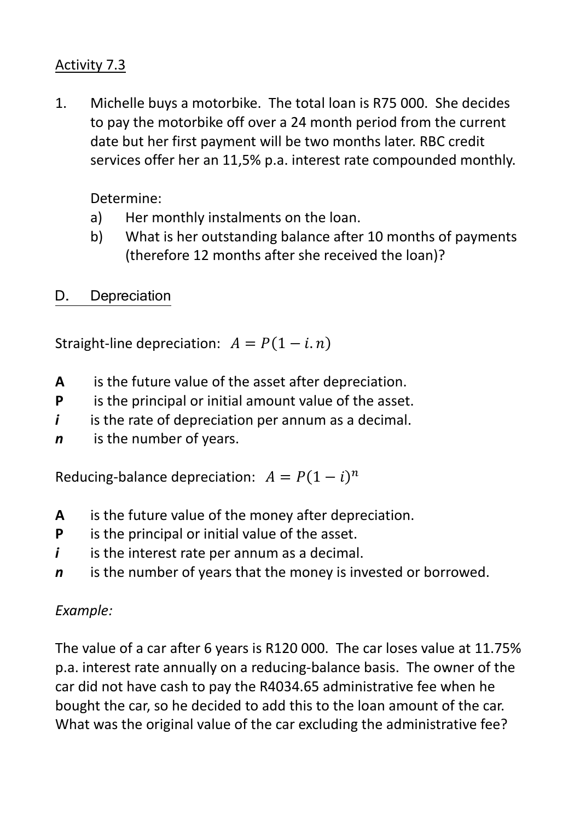## Activity 7.3

1. Michelle buys a motorbike. The total loan is R75 000. She decides to pay the motorbike off over a 24 month period from the current date but her first payment will be two months later. RBC credit services offer her an 11,5% p.a. interest rate compounded monthly.

Determine:

- a) Her monthly instalments on the loan.
- b) What is her outstanding balance after 10 months of payments (therefore 12 months after she received the loan)?

 $D_{\cdot}$ **Depreciation** 

Straight-line depreciation:  $A = P(1 - i.n)$ 

- **A** is the future value of the asset after depreciation.
- **P** is the principal or initial amount value of the asset.
- *i* is the rate of depreciation per annum as a decimal.
- *n* is the number of years.

Reducing-balance depreciation:  $A = P(1 - i)^n$ 

- **A** is the future value of the money after depreciation.
- **P** is the principal or initial value of the asset.
- *i* is the interest rate per annum as a decimal.
- *n* is the number of years that the money is invested or borrowed.

## *Example:*

The value of a car after 6 years is R120 000. The car loses value at 11.75% p.a. interest rate annually on a reducing-balance basis. The owner of the car did not have cash to pay the R4034.65 administrative fee when he bought the car, so he decided to add this to the loan amount of the car. What was the original value of the car excluding the administrative fee?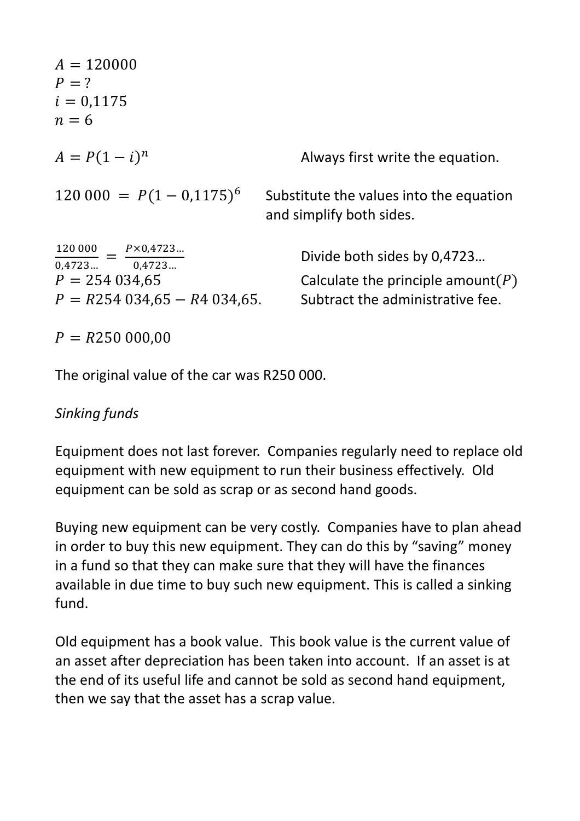| $A = 120000$<br>$P = ?$<br>$i = 0.1175$<br>$n=6$                                                                              |                                                                                                          |
|-------------------------------------------------------------------------------------------------------------------------------|----------------------------------------------------------------------------------------------------------|
| $A = P(1 - i)^n$                                                                                                              | Always first write the equation.                                                                         |
| $120\,000 = P(1 - 0.1175)^6$                                                                                                  | Substitute the values into the equation<br>and simplify both sides.                                      |
| $\frac{120000}{\ } = \frac{P \times 0.4723 \dots}{P}$<br>$0,4723$ $0,4723$<br>$P = 254034,65$<br>$P = R254034,65 - R4034,65.$ | Divide both sides by 0,4723<br>Calculate the principle amount( $P$ )<br>Subtract the administrative fee. |
| $P = R250000,00$                                                                                                              |                                                                                                          |

The original value of the car was R250 000.

### *Sinking funds*

Equipment does not last forever. Companies regularly need to replace old equipment with new equipment to run their business effectively. Old equipment can be sold as scrap or as second hand goods.

Buying new equipment can be very costly. Companies have to plan ahead in order to buy this new equipment. They can do this by "saving" money in a fund so that they can make sure that they will have the finances available in due time to buy such new equipment. This is called a sinking fund.

Old equipment has a book value. This book value is the current value of an asset after depreciation has been taken into account. If an asset is at the end of its useful life and cannot be sold as second hand equipment, then we say that the asset has a scrap value.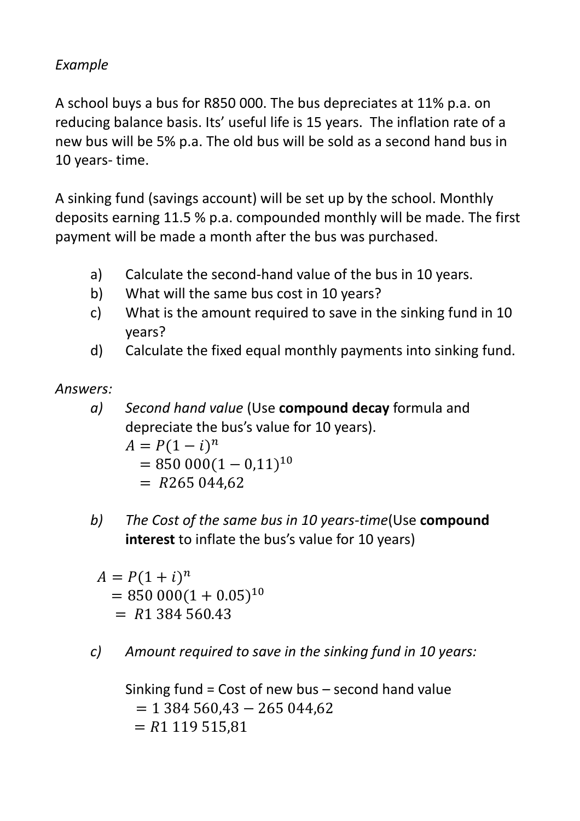## *Example*

A school buys a bus for R850 000. The bus depreciates at 11% p.a. on reducing balance basis. Its' useful life is 15 years. The inflation rate of a new bus will be 5% p.a. The old bus will be sold as a second hand bus in 10 years- time.

A sinking fund (savings account) will be set up by the school. Monthly deposits earning 11.5 % p.a. compounded monthly will be made. The first payment will be made a month after the bus was purchased.

- a) Calculate the second-hand value of the bus in 10 years.
- b) What will the same bus cost in 10 years?
- c) What is the amount required to save in the sinking fund in 10 years?
- d) Calculate the fixed equal monthly payments into sinking fund.

*Answers:* 

*a) Second hand value* (Use **compound decay** formula and depreciate the bus's value for 10 years).

$$
A = P(1 - i)n
$$
  
= 850 000(1 - 0.11)<sup>10</sup>  
= R265 044.62

*b) The Cost of the same bus in 10 years-time*(Use **compound interest** to inflate the bus's value for 10 years)

 $A = P(1 + i)^n$  $= 850000(1 + 0.05)^{10}$  $=$  R1 384 560.43

*c) Amount required to save in the sinking fund in 10 years:* 

Sinking fund = Cost of new bus – second hand value  $= 1384560.43 - 265044.62$  $= R1 119 515.81$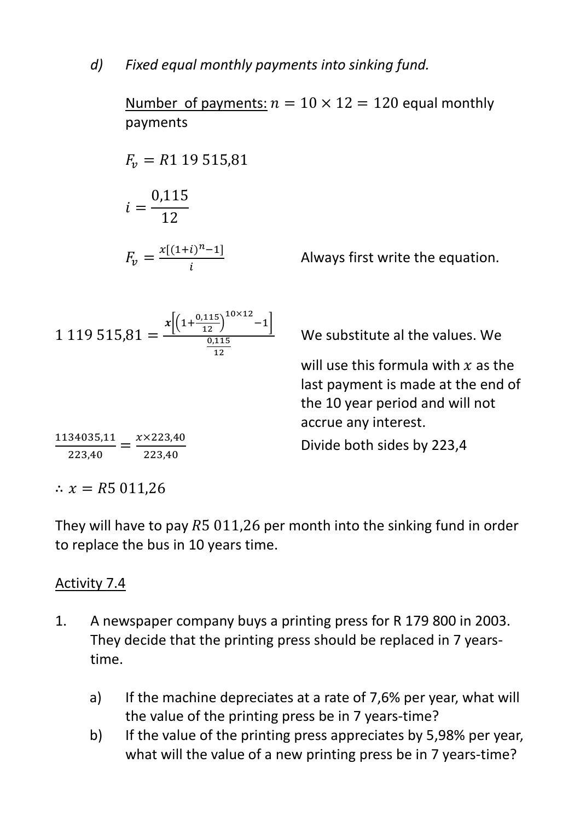Number of payments:  $n = 10 \times 12 = 120$  equal monthly payments

$$
F_v = R1 \ 19 \ 515,81
$$
\n
$$
i = \frac{0,115}{12}
$$
\n
$$
F_v = \frac{x[(1+i)^n - 1]}{i}
$$

 $x\left[\left(1+\frac{0,115}{12}\right)\right]$ 

 $10\times12$ 

 $0,115$ 12

 $^{-1}$ 

Always first write the equation.

We substitute al the values. We

will use this formula with  $x$  as the last payment is made at the end of the 10 year period and will not accrue any interest.

Divide both sides by 223,4

1134035,1  $\frac{34035,11}{223,40} = \frac{x \times 223,40}{223,40}$ 223,40

∴  $x = R5011,26$ 

 $1\,119\,515,81 =$ 

They will have to pay  $R5011,26$  per month into the sinking fund in order to replace the bus in 10 years time.

### Activity 7.4

- 1. A newspaper company buys a printing press for R 179 800 in 2003. They decide that the printing press should be replaced in 7 yearstime.
	- a) If the machine depreciates at a rate of 7,6% per year, what will the value of the printing press be in 7 years-time?
	- b) If the value of the printing press appreciates by 5,98% per year, what will the value of a new printing press be in 7 years-time?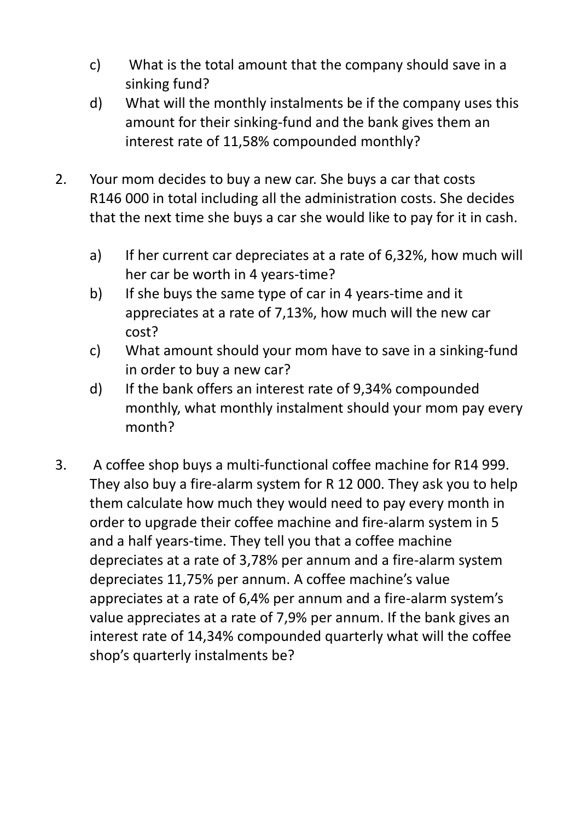- c) What is the total amount that the company should save in a sinking fund?
- d) What will the monthly instalments be if the company uses this amount for their sinking-fund and the bank gives them an interest rate of 11,58% compounded monthly?
- 2. Your mom decides to buy a new car. She buys a car that costs R146 000 in total including all the administration costs. She decides that the next time she buys a car she would like to pay for it in cash.
	- a) If her current car depreciates at a rate of 6,32%, how much will her car be worth in 4 years-time?
	- b) If she buys the same type of car in 4 years-time and it appreciates at a rate of 7,13%, how much will the new car cost?
	- c) What amount should your mom have to save in a sinking-fund in order to buy a new car?
	- d) If the bank offers an interest rate of 9,34% compounded monthly, what monthly instalment should your mom pay every month?
- 3. A coffee shop buys a multi-functional coffee machine for R14 999. They also buy a fire-alarm system for R 12 000. They ask you to help them calculate how much they would need to pay every month in order to upgrade their coffee machine and fire-alarm system in 5 and a half years-time. They tell you that a coffee machine depreciates at a rate of 3,78% per annum and a fire-alarm system depreciates 11,75% per annum. A coffee machine's value appreciates at a rate of 6,4% per annum and a fire-alarm system's value appreciates at a rate of 7,9% per annum. If the bank gives an interest rate of 14,34% compounded quarterly what will the coffee shop's quarterly instalments be?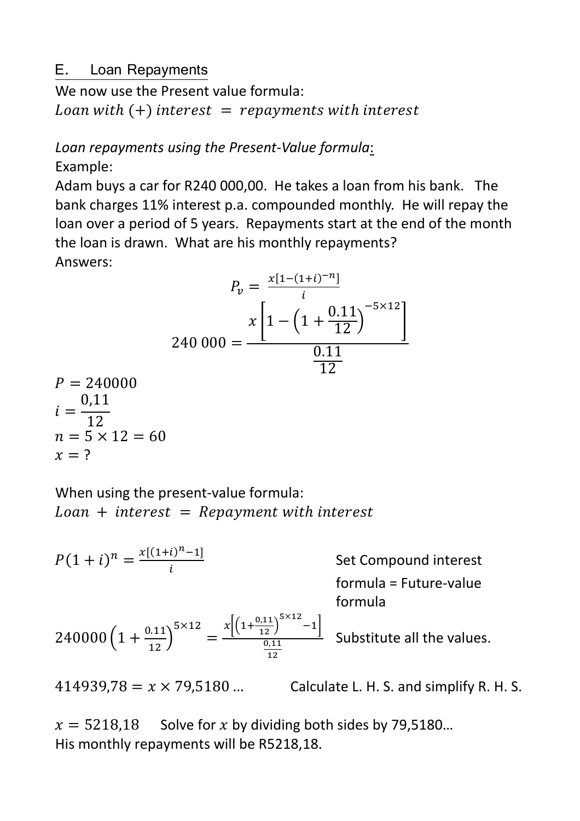#### E-Loan Repayments

We now use the Present value formula: Loan with  $(+)$  interest  $=$  repayments with interest

#### *Loan repayments using the Present-Value formula*: Example:

Adam buys a car for R240 000,00. He takes a loan from his bank. The bank charges 11% interest p.a. compounded monthly. He will repay the loan over a period of 5 years. Repayments start at the end of the month the loan is drawn. What are his monthly repayments? Answers:

$$
P_v = \frac{x[1-(1+i)^{-n}]}{i}
$$
  
240 000 = 
$$
\frac{x\left[1 - \left(1 + \frac{0.11}{12}\right)^{-5 \times 12}\right]}{\frac{0.11}{12}}
$$
  
P = 240000

$$
P = 240000
$$
  

$$
i = \frac{0,11}{12}
$$
  

$$
n = 5 \times 12 = 60
$$
  

$$
x = ?
$$

When using the present-value formula:  $Ioan + interest = Repayment with interest$ 

 $P(1+i)^n = \frac{x[(1+i)^{n}-1]}{i}$ l Set Compound interest formula = Future-value formula  $240000\left(1+\frac{0.11}{12}\right)$  $5 \times 12$ =  $x\left[\left(1+\frac{0,11}{12}\right)\right]$  $5\times12$  $^{-1}$  $0,11$ **12**  Substitute all the values. 414939,78 =  $x \times 79,5180$  ... Calculate L. H. S. and simplify R. H. S.

 $x = 5218,18$  Solve for x by dividing both sides by 79,5180... His monthly repayments will be R5218,18.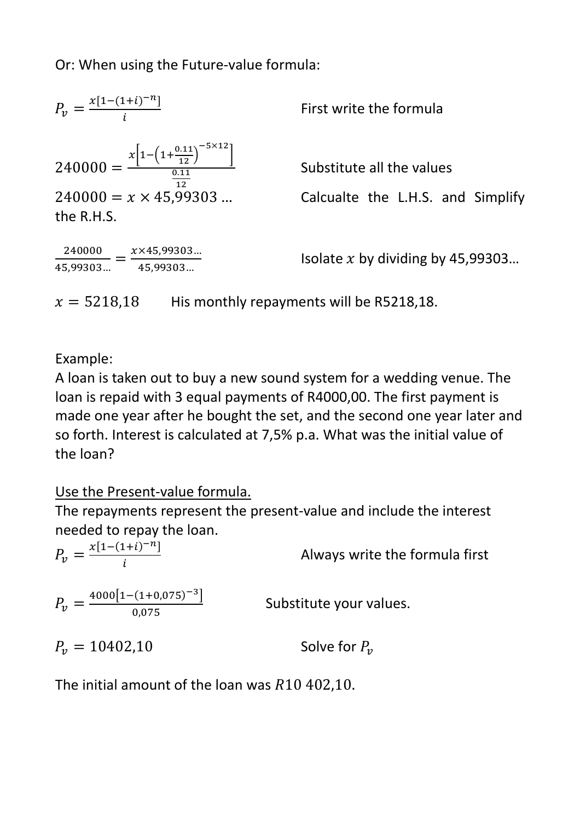Or: When using the Future-value formula:

| $P_v = \frac{x[1-(1+i)^{-n}]}{i}$                                                                                                              |  |
|------------------------------------------------------------------------------------------------------------------------------------------------|--|
| $240000 = \frac{x \left[1 - \left(1 + \frac{0.11}{12}\right)^{-5 \times 12}\right]}{0.11}$<br>12<br>$240000 = x \times 45,99303$<br>the R.H.S. |  |

240000  $\frac{240000}{45,99303...} = \frac{x \times 45,99303...}{45,99303...}$ 45,99303…

First write the formula

Substitute all the values

Calcualte the L.H.S. and Simplify

Isolate  $x$  by dividing by 45,99303...

 $x = 5218.18$  His monthly repayments will be R5218.18.

Example:

A loan is taken out to buy a new sound system for a wedding venue. The loan is repaid with 3 equal payments of R4000,00. The first payment is made one year after he bought the set, and the second one year later and so forth. Interest is calculated at 7,5% p.a. What was the initial value of the loan?

## Use the Present-value formula.

The repayments represent the present-value and include the interest needed to repay the loan.

| $P_v = \frac{x[1-(1+i)^{-n}]}{i}$            | Always write the formula first |
|----------------------------------------------|--------------------------------|
| $P_v = \frac{4000[1-(1+0.075)^{-3}]}{0.075}$ | Substitute your values.        |
| $P_{\nu} = 10402,10$                         | Solve for $P_{12}$             |

The initial amount of the loan was  $R10$  402,10.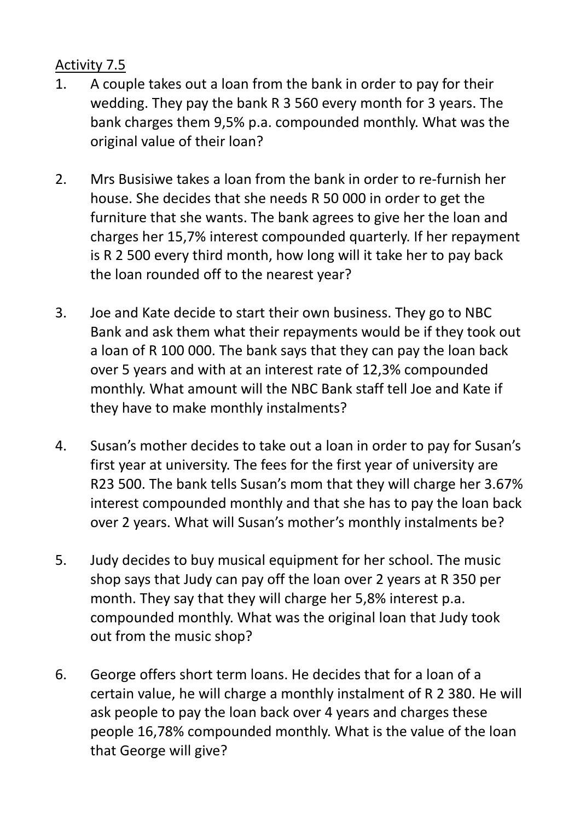### Activity 7.5

- 1. A couple takes out a loan from the bank in order to pay for their wedding. They pay the bank R 3 560 every month for 3 years. The bank charges them 9,5% p.a. compounded monthly. What was the original value of their loan?
- 2. Mrs Busisiwe takes a loan from the bank in order to re-furnish her house. She decides that she needs R 50 000 in order to get the furniture that she wants. The bank agrees to give her the loan and charges her 15,7% interest compounded quarterly. If her repayment is R 2 500 every third month, how long will it take her to pay back the loan rounded off to the nearest year?
- 3. Joe and Kate decide to start their own business. They go to NBC Bank and ask them what their repayments would be if they took out a loan of R 100 000. The bank says that they can pay the loan back over 5 years and with at an interest rate of 12,3% compounded monthly. What amount will the NBC Bank staff tell Joe and Kate if they have to make monthly instalments?
- 4. Susan's mother decides to take out a loan in order to pay for Susan's first year at university. The fees for the first year of university are R23 500. The bank tells Susan's mom that they will charge her 3.67% interest compounded monthly and that she has to pay the loan back over 2 years. What will Susan's mother's monthly instalments be?
- 5. Judy decides to buy musical equipment for her school. The music shop says that Judy can pay off the loan over 2 years at R 350 per month. They say that they will charge her 5,8% interest p.a. compounded monthly. What was the original loan that Judy took out from the music shop?
- 6. George offers short term loans. He decides that for a loan of a certain value, he will charge a monthly instalment of R 2 380. He will ask people to pay the loan back over 4 years and charges these people 16,78% compounded monthly. What is the value of the loan that George will give?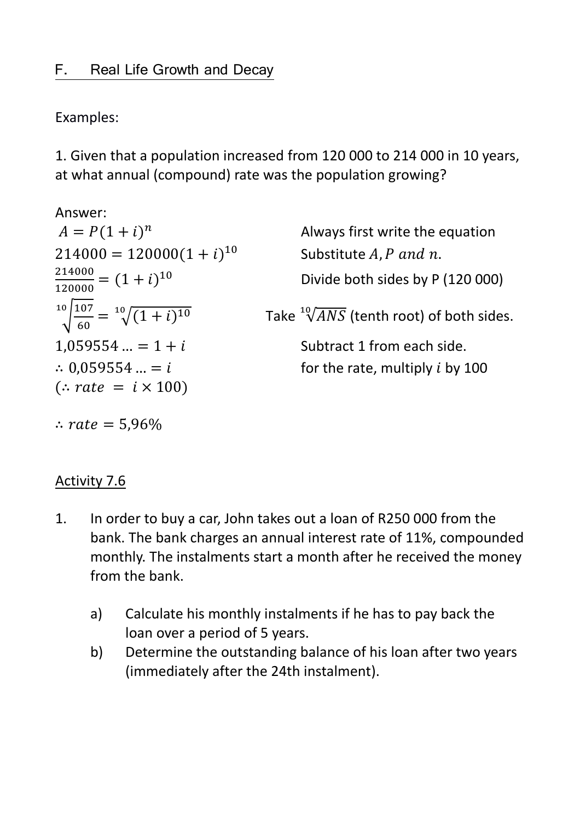Examples:

1. Given that a population increased from 120 000 to 214 000 in 10 years, at what annual (compound) rate was the population growing?

| Answer:                                             |                                                   |
|-----------------------------------------------------|---------------------------------------------------|
| $A = P(1 + i)^n$                                    | Always first write the equation                   |
| $214000 = 120000(1 + i)^{10}$                       | Substitute A, P and n.                            |
| $\frac{214000}{120000} = (1+i)^{10}$                | Divide both sides by P (120 000)                  |
| $\sqrt[10]{\frac{107}{60}} = \sqrt[10]{(1+i)^{10}}$ | Take $\sqrt[10]{ANS}$ (tenth root) of both sides. |
| $1,059554 = 1 + i$                                  | Subtract 1 from each side.                        |
| $\therefore$ 0.059554  = i                          | for the rate, multiply <i>i</i> by 100            |
| $\therefore$ rate = $i \times 100$ )                |                                                   |
| :. $rate = 5,96\%$                                  |                                                   |

### Activity 7.6

- 1. In order to buy a car, John takes out a loan of R250 000 from the bank. The bank charges an annual interest rate of 11%, compounded monthly. The instalments start a month after he received the money from the bank.
	- a) Calculate his monthly instalments if he has to pay back the loan over a period of 5 years.
	- b) Determine the outstanding balance of his loan after two years (immediately after the 24th instalment).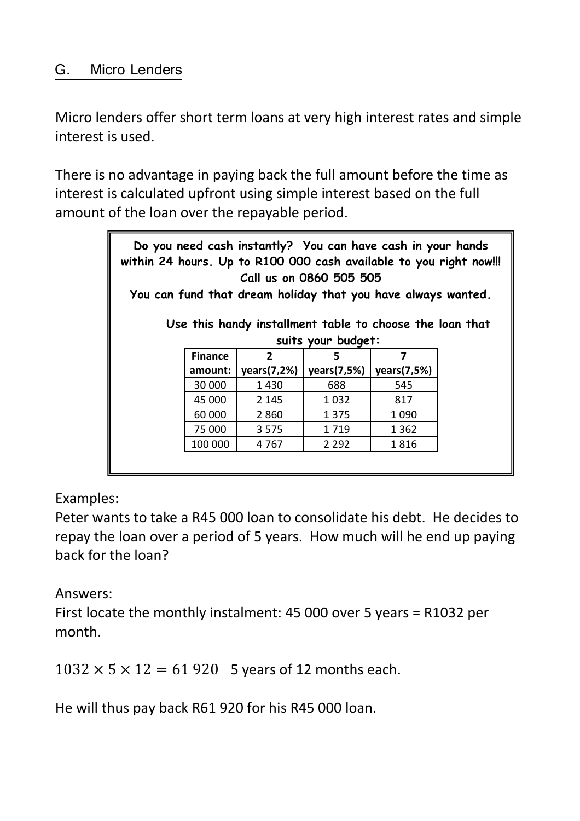#### G. Micro Lenders

Micro lenders offer short term loans at very high interest rates and simple interest is used.

There is no advantage in paying back the full amount before the time as interest is calculated upfront using simple interest based on the full amount of the loan over the repayable period.

| Do you need cash instantly? You can have cash in your hands<br>within 24 hours. Up to R100 000 cash available to you right now!!!<br>Call us on 0860 505 505<br>You can fund that dream holiday that you have always wanted.<br>Use this handy installment table to choose the loan that<br>suits your budget: |                |                |             |             |  |
|----------------------------------------------------------------------------------------------------------------------------------------------------------------------------------------------------------------------------------------------------------------------------------------------------------------|----------------|----------------|-------------|-------------|--|
|                                                                                                                                                                                                                                                                                                                | <b>Finance</b> | $\overline{2}$ | 5           | 7           |  |
|                                                                                                                                                                                                                                                                                                                | amount:        | years(7,2%)    | years(7,5%) | years(7,5%) |  |
|                                                                                                                                                                                                                                                                                                                | 30 000         | 1430           | 688         | 545         |  |
|                                                                                                                                                                                                                                                                                                                | 45 000         | 2 1 4 5        | 1 0 3 2     | 817         |  |
|                                                                                                                                                                                                                                                                                                                | 60 000         | 2 8 6 0        | 1 3 7 5     | 1 0 9 0     |  |
|                                                                                                                                                                                                                                                                                                                | 75 000         | 3 5 7 5        | 1719        | 1 3 6 2     |  |
|                                                                                                                                                                                                                                                                                                                | 100 000        | 4767           | 2 2 9 2     | 1816        |  |
|                                                                                                                                                                                                                                                                                                                |                |                |             |             |  |

Examples:

Peter wants to take a R45 000 loan to consolidate his debt. He decides to repay the loan over a period of 5 years. How much will he end up paying back for the loan?

Answers:

First locate the monthly instalment: 45 000 over 5 years = R1032 per month.

 $1032 \times 5 \times 12 = 61\,920$  5 years of 12 months each.

He will thus pay back R61 920 for his R45 000 loan.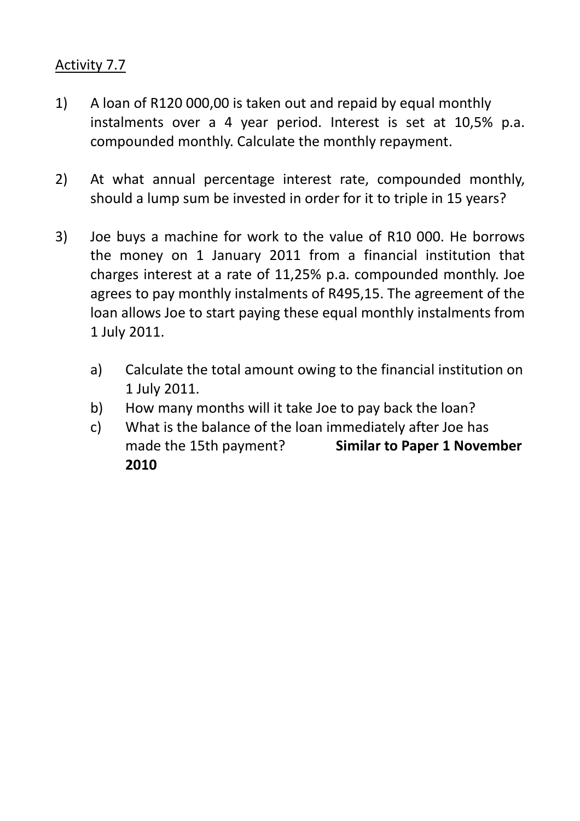### Activity 7.7

- 1) A loan of R120 000,00 is taken out and repaid by equal monthly instalments over a 4 year period. Interest is set at 10,5% p.a. compounded monthly. Calculate the monthly repayment.
- 2) At what annual percentage interest rate, compounded monthly, should a lump sum be invested in order for it to triple in 15 years?
- 3) Joe buys a machine for work to the value of R10 000. He borrows the money on 1 January 2011 from a financial institution that charges interest at a rate of 11,25% p.a. compounded monthly. Joe agrees to pay monthly instalments of R495,15. The agreement of the loan allows Joe to start paying these equal monthly instalments from 1 July 2011.
	- a) Calculate the total amount owing to the financial institution on 1 July 2011.
	- b) How many months will it take Joe to pay back the loan?
	- c) What is the balance of the loan immediately after Joe has made the 15th payment? **Similar to Paper 1 November 2010**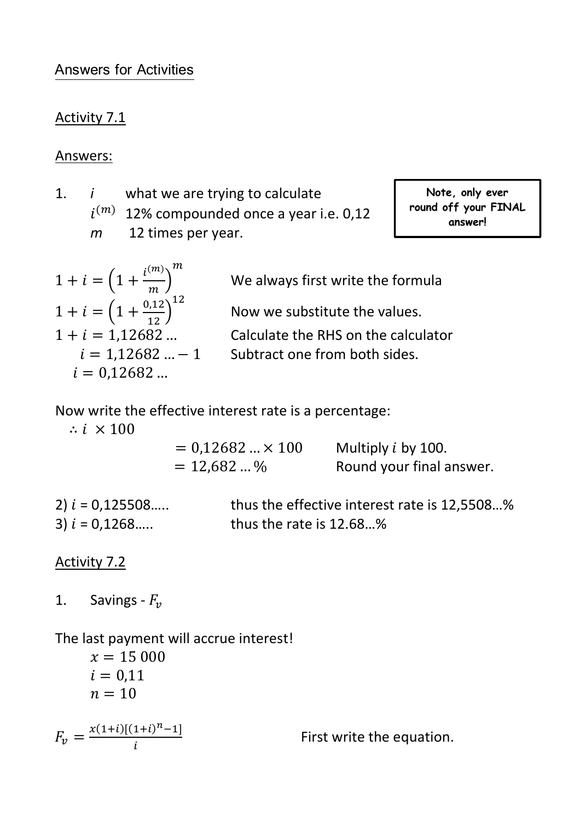#### Answers for Activities

#### Activity 7.1

#### Answers:

- 1. *i* what we are trying to calculate
	- $i^{(m)}$  12% compounded once a year i.e. 0,12
	- *m* 12 times per year.

**Note, only ever round off your FINAL answer!** 

$$
1 + i = \left(1 + \frac{i^{(m)}}{m}\right)^m
$$
  
\n
$$
1 + i = \left(1 + \frac{0.12}{12}\right)^{12}
$$
  
\n
$$
1 + i = 1.12682 \dots
$$
  
\n
$$
i = 1.12682 \dots - 1
$$
  
\n
$$
i = 0.12682 \dots
$$

We always first write the formula

Now we substitute the values.

Calculate the RHS on the calculator

Subtract one from both sides.

Now write the effective interest rate is a percentage:

 $\therefore i \times 100$ 

| $= 0.12682  \times 100$ | Multiply $i$ by 100.     |
|-------------------------|--------------------------|
| $= 12,682$ %            | Round your final answer. |

2)  $i = 0,125508....$  thus the effective interest rate is 12,5508...% 3)  $i = 0,1268....$  thus the rate is 12.68...%

Activity 7.2

1. Savings -  $F_v$ 

The last payment will accrue interest!

$$
x = 15\,000
$$
  
\n $i = 0,11$   
\n $n = 10$   
\n
$$
F_v = \frac{x(1+i)[(1+i)^n - 1]}{i}
$$
 First write the equation.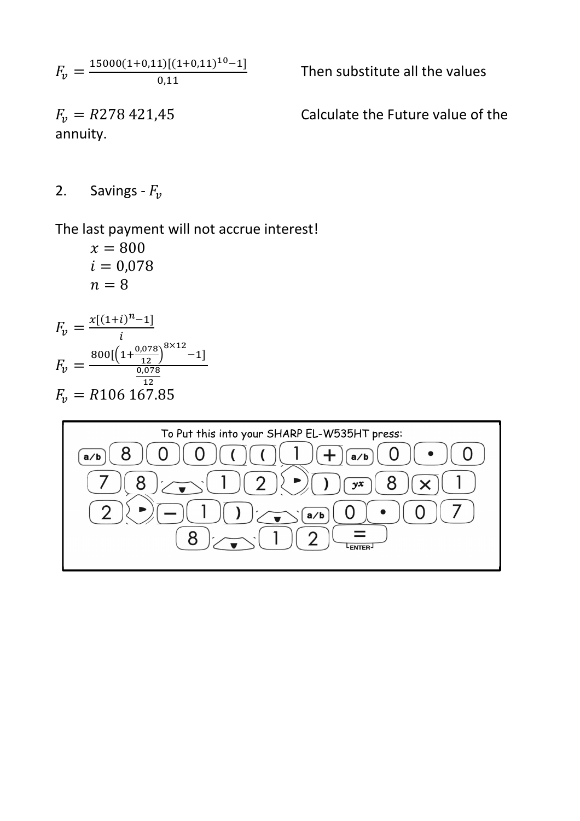$F_v = \frac{15000(1+0,11)[(1+0,11)^{10}-1]}{0.11}$  $0,1$ 

annuity.

Then substitute all the values

 $F_v = R278\,421.45$  Calculate the Future value of the

2. Savings -  $F_v$ 

The last payment will not accrue interest!

 $x = 800$  $i = 0,078$  $n = 8$ 

$$
F_v = \frac{x[(1+i)^{n}-1]}{i}
$$
  
\n
$$
F_v = \frac{800[(1+\frac{0.078}{12})^{8\times12}-1]}{\frac{0.078}{12}}
$$
  
\n
$$
F_v = R106\ 167.85
$$

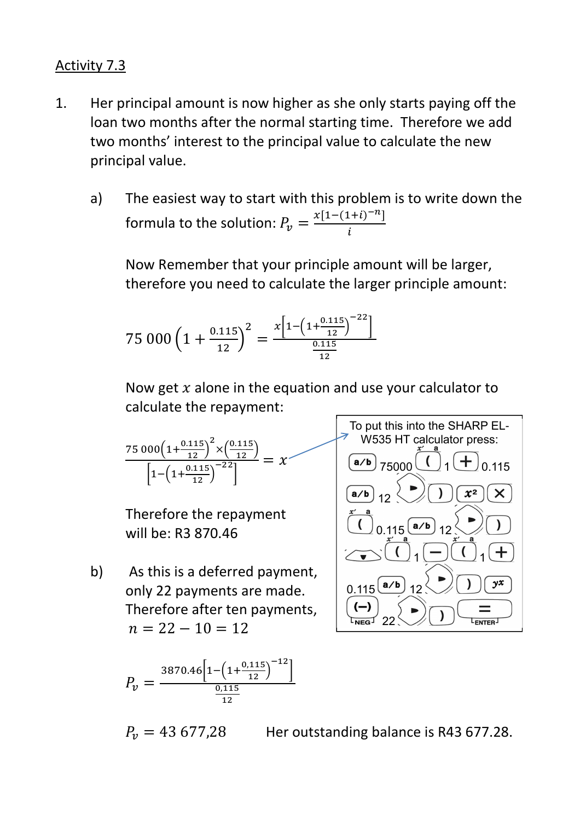#### Activity 7.3

- 1. Her principal amount is now higher as she only starts paying off the loan two months after the normal starting time. Therefore we add two months' interest to the principal value to calculate the new principal value.
	- a) The easiest way to start with this problem is to write down the formula to the solution:  $P_{\mathcal{V}} = \frac{x[1-(1+i)^{-n}]}{i}$  $\tilde{l}$

 Now Remember that your principle amount will be larger, therefore you need to calculate the larger principle amount:

$$
75\,000\left(1+\frac{0.115}{12}\right)^2 = \frac{x\left[1-\left(1+\frac{0.115}{12}\right)^{-22}\right]}{\frac{0.115}{12}}
$$

Now get  $x$  alone in the equation and use your calculator to calculate the repayment:

$$
\frac{75\ 000\left(1+\frac{0.115}{12}\right)^2 \times \left(\frac{0.115}{12}\right)}{\left[1-\left(1+\frac{0.115}{12}\right)^{-22}\right]} = x
$$

Therefore the repayment will be: R3 870.46

b) As this is a deferred payment, only 22 payments are made. Therefore after ten payments,  $n = 22 - 10 = 12$ 

To put this into the SHARP EL-W535 HT calculator press: 75000 1 0.115 12 0.115 12 1 1 0.115 12 22

$$
P_v = \frac{3870.46 \left[ 1 - \left( 1 + \frac{0.115}{12} \right)^{-12} \right]}{\frac{0.115}{12}}
$$

$$
P_v = 43\,677.28
$$

Her outstanding balance is R43 677.28.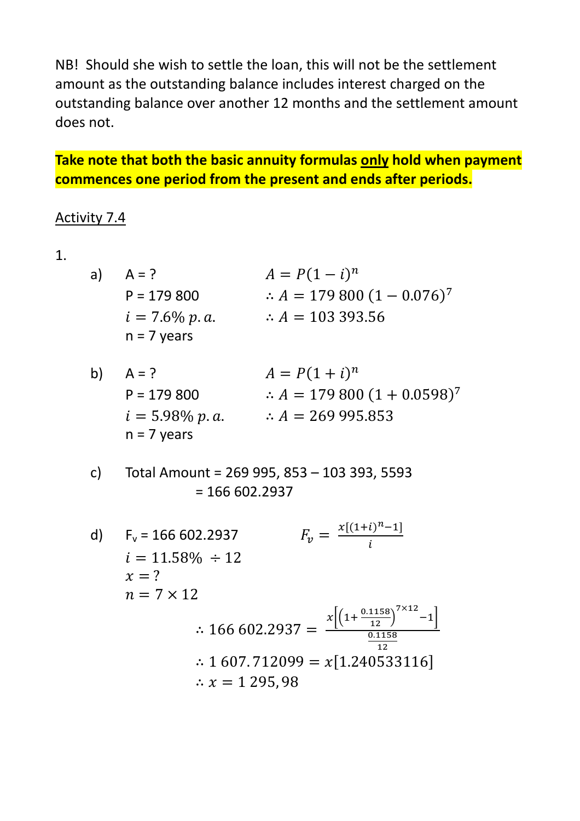NB! Should she wish to settle the loan, this will not be the settlement amount as the outstanding balance includes interest charged on the outstanding balance over another 12 months and the settlement amount does not.

## **Take note that both the basic annuity formulas only hold when payment commences one period from the present and ends after periods.**

#### Activity 7.4

1.

| a) | $A = ?$          | $A = P(1 - i)^n$                         |
|----|------------------|------------------------------------------|
|    | $P = 179800$     | $\therefore A = 179\,800\,(1 - 0.076)^7$ |
|    | $i = 7.6\% p.a.$ | $\therefore$ A = 103 393.56              |
|    | $n = 7$ years    |                                          |

| b) | $A = ?$           | $A = P(1 + i)^n$                          |
|----|-------------------|-------------------------------------------|
|    | $P = 179800$      | $\therefore A = 179\,800\,(1 + 0.0598)^7$ |
|    | $i = 5.98\% p.a.$ | $\therefore$ A = 269 995.853              |
|    | $n = 7$ years     |                                           |

 c) Total Amount = 269 995, 853 – 103 393, 5593  $= 166 602.2937$ 

d)  $F_v = 166\,602.2937$  $x[(1+i)^n - 1]$  $\tilde{l}$  $i = 11.58\% \div 12$  $x = ?$  $n = 7 \times 12$ ∴ 166 602.2937 =  $$  $x\left[\left(1+\frac{0.1158}{12}\right)\right]$  $7\times12$  $^{-1}$  $0.1158$ **12** ∴ 1 607. 712099 =  $x[1.240533116]$ ∴  $x = 1295,98$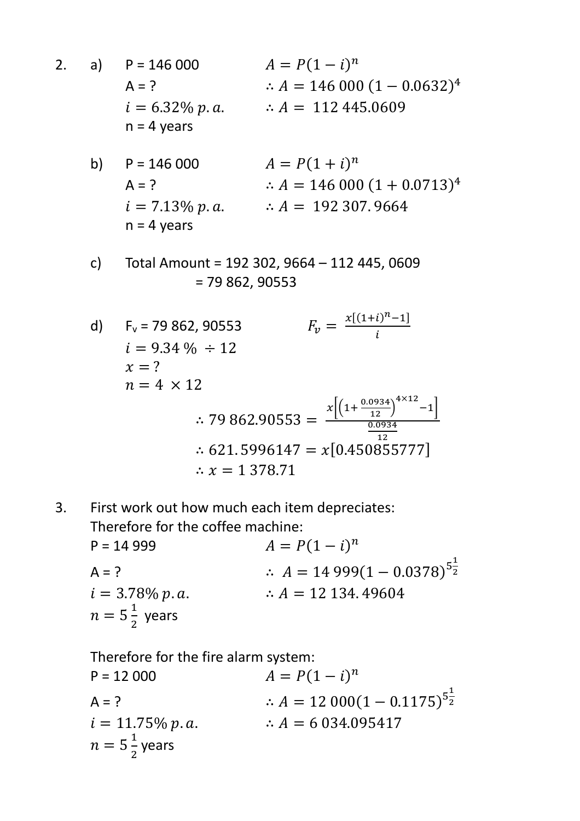- 2. a)  $P = 146000$  $\boldsymbol{n}$  $A = ?$  ∴  $A = 146000 (1 - 0.0632)^4$  $i = 6.32\% p.a.$   $\therefore A = 112\,445.0609$  $n = 4$  years
- b)  $P = 146\,000$   $A = P(1 + i)^n$  $A = ?$  ∴  $A = 146000 (1 + 0.0713)^4$  $i = 7.13\% p.a.$   $\therefore A = 192307.9664$  $n = 4$  years
	- c) Total Amount = 192 302, 9664 112 445, 0609 = 79 862, 90553
- d)  $F_v = 79862.90553$  $x[(1+i)^n - 1]$ l  $i = 9.34\% \div 12$  $x = ?$  $n = 4 \times 12$  $\therefore$  79 862.90553 =  $x\left[\left(1+\frac{0.0934}{12}\right)\right]$  $4\times12$  $^{-1}$  $0.0934$ **12** ∴ 621.5996147 =  $x[0.450855777]$  $\therefore$  x = 1 378.71
- 3. First work out how much each item depreciates: Therefore for the coffee machine:  $P = 14999$   $A = P(1 - i)^n$ A = ?  $\therefore A = 14999(1 - 0.0378)^{5\frac{1}{2}}$  $i = 3.78\% p.a.$   $\therefore A = 12\,134.49604$  $n = 5\frac{1}{2}$ years

 Therefore for the fire alarm system:  $P = 12\,000$   $A = P(1 - i)^n$ A = ?  $\therefore A = 12000(1 - 0.1175)^{5\frac{1}{2}}$  $i = 11.75\% p.a.$   $\therefore A = 6.034.095417$  $n = 5\frac{1}{2}$ years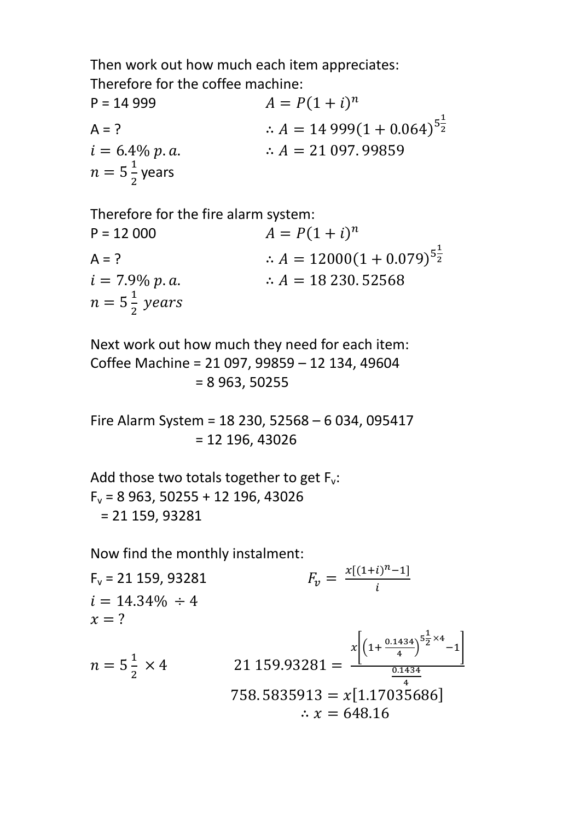Then work out how much each item appreciates: Therefore for the coffee machine:

 $P = 14999$   $A = P(1 + i)^n$ A = ?  $\therefore A = 14999(1 + 0.064)^{5\frac{1}{2}}$  $i = 6.4\% p.a.$   $\therefore A = 21\,097.99859$  $n = 5\frac{1}{2}$ years

Therefore for the fire alarm system:  $P = 12\,000$   $A = P(1 + i)^n$ A = ?  $\therefore A = 12000(1 + 0.079)^{5\frac{1}{2}}$  $i = 7.9\% p.a.$   $\therefore A = 18\,230.52568$  $n = 5\frac{1}{2}$  years

 Next work out how much they need for each item: Coffee Machine = 21 097, 99859 – 12 134, 49604 = 8 963, 50255

 Fire Alarm System = 18 230, 52568 – 6 034, 095417 = 12 196, 43026

Add those two totals together to get  $F_v$ :  $F_v$  = 8 963, 50255 + 12 196, 43026 = 21 159, 93281

Now find the monthly instalment:

 $F_v = 21 159, 93281$  $x[(1+i)^n - 1]$ l  $i = 14.34\% \div 4$  $x = ?$  $n = 5\frac{1}{2}$  $\times$  4 21 159.93281 =  $x\left[\left(1+\frac{0.1434}{4}\right)\right]$  $5\frac{1}{2}$  $\frac{1}{2}$  × 4  $-1$  $\begin{array}{c|c} \hline 0.1434 \end{array}$  $758.5835913 = x[1.1703\overline{5}686]$ ∴  $x = 648.16$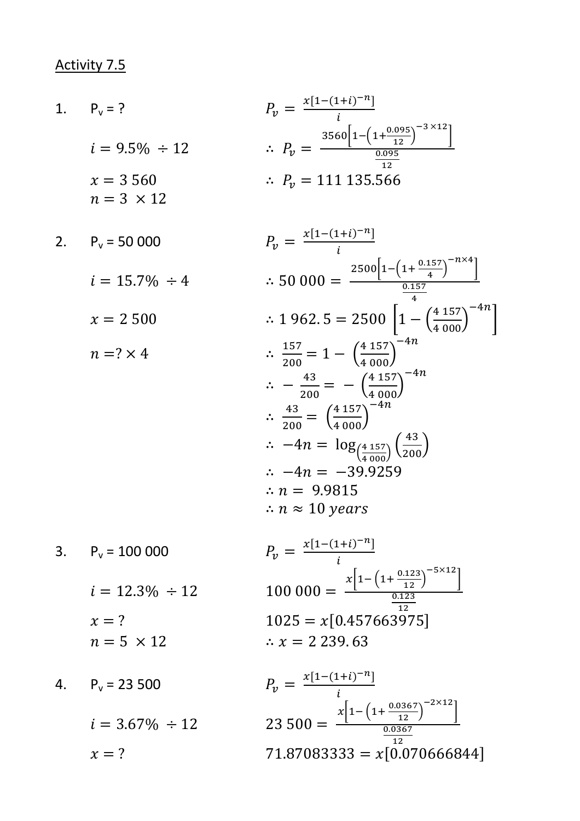# Activity 7.5

1. 
$$
P_v = ?
$$
  
\n
$$
i = 9.5\% \div 12
$$
\n
$$
i = 3.560 \qquad \therefore P_v = \frac{3560 \left[ 1 - \left( 1 + \frac{0.095}{12} \right)^{-3 \times 12} \right]}{\frac{0.095}{12}}
$$
\n
$$
n = 3 \times 12
$$
\n2.  $\frac{p_v = 111 \cdot 135.566}{\frac{0.095}{12}}$ 

2. 
$$
P_v = 50\,000
$$
  $P_v = \frac{x[1-(1+i)^{-n}]}{i}$   
\n $i = 15.7\% \div 4$   $\therefore 50\,000 = \frac{2500[1 - \left(1 + \frac{0.157}{4}\right)^{-n \times 4}]}{\frac{0.157}{4}}$   
\n $x = 2\,500$   $\therefore 1\,962.5 = 2500\left[1 - \left(\frac{4\,157}{4\,000}\right)^{-4n}\right]$   
\n $n = ? \times 4$   $\therefore \frac{157}{200} = 1 - \left(\frac{4\,157}{4\,000}\right)^{-4n}$   
\n $\therefore -\frac{43}{200} = - \left(\frac{4\,157}{4\,000}\right)^{-4n}$   
\n $\therefore \frac{43}{200} = \left(\frac{4\,157}{4\,000}\right)^{-4n}$   
\n $\therefore -4n = \log_{\left(\frac{4\,157}{4\,000}\right)}^{-4n}$   
\n $\therefore -4n = -39.9259$   
\n $\therefore n = 9.9815$   
\n $\therefore n \approx 10 \text{ years}$   
\n3.  $P_v = 100\,000$   $P_v = \frac{x[1 - (1 + i)^{-n}]}{i}$   
\n $x\left[1 - \left(1 + \frac{0.123}{12}\right)^{-5 \times 12}\right]$ 

$$
i = 12.3\% \div 12 \qquad 100\,000 = 1
$$
\n
$$
x = ? \qquad 1025 = x[0.4]
$$
\n
$$
n = 5 \times 12 \qquad \therefore x = 2\,239.
$$

4. 
$$
P_v = 23\,500
$$
  $P_v = \frac{x[1-(1-\pi)(1-\pi)]}{i}$   
\n $i = 3.67\% \div 12$   $23\,500 = -\frac{3}{2}\%$   
\n $x = ?$   $71.8708333$ 

$$
P_v = 100\,000
$$
\n
$$
P_v = \frac{x[1-(1+t)^{-n}]}{i}
$$
\n
$$
i = 12.3\% \div 12
$$
\n
$$
x = ?
$$
\n
$$
n = 5 \times 12
$$
\n
$$
100\,000 = \frac{x\left[1 - \left(1 + \frac{0.123}{12}\right)^{-5 \times 12}\right]}{\frac{0.123}{12}}
$$
\n
$$
\therefore x = 2\,239.63
$$

$$
P_v = 23\,500
$$
\n
$$
P_v = \frac{x[1-(1+i)^{-n}]}{i}
$$
\n
$$
i = 3.67\% \div 12
$$
\n
$$
x = ?
$$
\n
$$
23\,500 = \frac{x\left[1 - \left(1 + \frac{0.0367}{12}\right)^{-2 \times 12}\right]}{\frac{0.0367}{12}}
$$
\n
$$
71.87083333 = x[0.070666844]
$$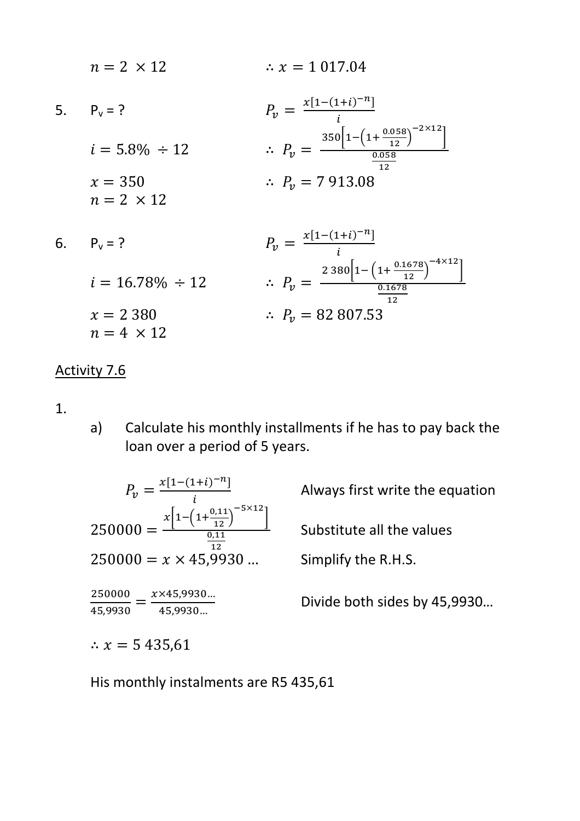| $n = 2 \times 12$              | $\therefore$ x = 1 017.04                                                                                              |
|--------------------------------|------------------------------------------------------------------------------------------------------------------------|
| 5. $P_v = ?$                   | $P_v = \frac{x[1-(1+i)^{-n}]}{i}$                                                                                      |
| $i = 5.8\% \div 12$            | $\therefore P_v = \frac{350\left[1-\left(1+\frac{0.058}{12}\right)^{-2\times12}\right]}{0.058}$<br>12 <sub>1</sub>     |
| $x = 350$<br>$n = 2 \times 12$ | $\therefore P_v = 7913.08$                                                                                             |
| 6. $P_v = ?$                   | $P_v = \frac{x[1-(1+i)^{-n}]}{i}$                                                                                      |
| $i = 16.78\% \div 12$          | $\therefore P_v = \frac{2 \cdot 380 \left[1 - \left(1 + \frac{0.1678}{12}\right)^{-4 \times 12}\right]}{0.1678}$<br>12 |
|                                |                                                                                                                        |

$$
x = 2\,380 \qquad \therefore \ P_v = 82\,807.53
$$

#### Activity 7.6

 $n = 4 \times 12$ 

1.

a) Calculate his monthly installments if he has to pay back the loan over a period of 5 years.

$$
P_v = \frac{x[1-(1+i)^{-n}]}{i}
$$
  
250000 = 
$$
\frac{x\left[1-\left(1+\frac{0,11}{12}\right)^{-5\times12}\right]}{\frac{0,11}{12}}
$$
  
250000 = x × 45,9930 ...  

$$
\frac{250000}{45,9930} = \frac{x \times 45,9930...}{45,9930...}
$$

Always first write the equation

Substitute all the values

Simplify the R.H.S.

Divide both sides by 45,9930…

∴  $x = 5435,61$ 

His monthly instalments are R5 435,61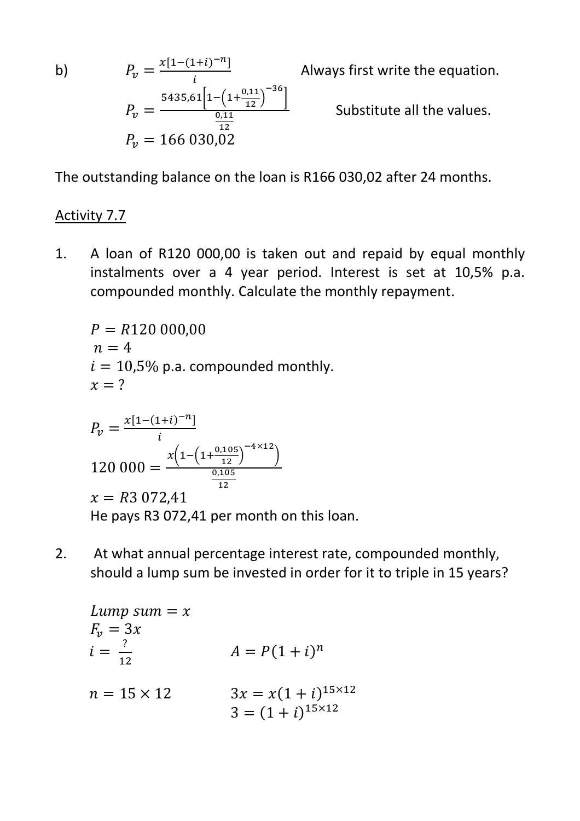$b)$ 

b)  
\n
$$
P_v = \frac{x[1-(1+i)^{-n}]}{i}
$$
\n
$$
P_v = \frac{5435.61\left[1-\left(1+\frac{0.11}{12}\right)^{-36}\right]}{\frac{0.11}{12}}
$$
\n
$$
P_v = 166\ 030.02
$$

Always first write the equation.

Substitute all the values.

The outstanding balance on the loan is R166 030,02 after 24 months.

#### Activity 7.7

1. A loan of R120 000,00 is taken out and repaid by equal monthly instalments over a 4 year period. Interest is set at 10,5% p.a. compounded monthly. Calculate the monthly repayment.

$$
P = R120\ 000,00
$$
  
n = 4  
i = 10,5% p.a. compounded monthly.  
x = ?  

$$
P_v = \frac{x[1-(1+i)^{-n}]}{i}
$$
  
120 000 = 
$$
\frac{x(1-(1+\frac{0,105}{12})^{-4\times12})}{\frac{0,105}{12}}
$$

 $x = R3072,41$ He pays R3 072,41 per month on this loan.

2. At what annual percentage interest rate, compounded monthly, should a lump sum be invested in order for it to triple in 15 years?

Lump sum = x  
\n
$$
F_v = 3x
$$
  
\n $i = \frac{?}{12}$   
\n $n = 15 \times 12$   
\n $3x = x(1+i)^{15 \times 12}$   
\n $3 = (1+i)^{15 \times 12}$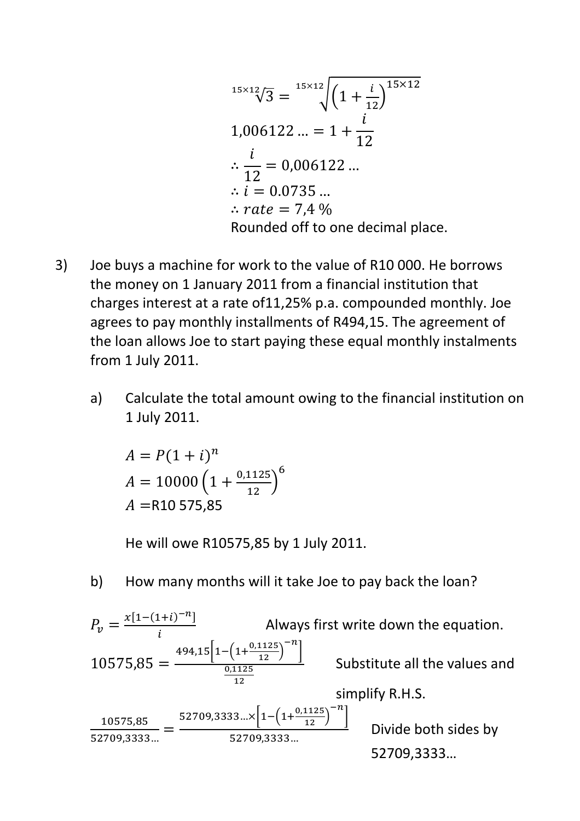$$
^{15 \times 12}_{\sqrt{3}}\sqrt{3} = {^{15 \times 12}_{\sqrt{3}}} \left(1 + \frac{i}{12}\right)^{15 \times 12}
$$
  
1,006122 ... = 1 +  $\frac{i}{12}$   
∴  $\frac{i}{12}$  = 0,006122 ...  
∴  $i$  = 0.0735 ...  
∴ *rate* = 7,4 %  
Rounded off to one decimal place.

- 3) Joe buys a machine for work to the value of R10 000. He borrows the money on 1 January 2011 from a financial institution that charges interest at a rate of11,25% p.a. compounded monthly. Joe agrees to pay monthly installments of R494,15. The agreement of the loan allows Joe to start paying these equal monthly instalments from 1 July 2011.
	- a) Calculate the total amount owing to the financial institution on 1 July 2011.

$$
A = P(1 + i)^{n}
$$
  

$$
A = 10000 \left(1 + \frac{0.1125}{12}\right)^{6}
$$
  

$$
A = R10 575.85
$$

He will owe R10575,85 by 1 July 2011.

b) How many months will it take Joe to pay back the loan?

$$
P_v = \frac{x[1-(1+i)^{-n}]}{i}
$$
 Always first write down the equation.  
\n
$$
10575,85 = \frac{494,15[1-(1+\frac{0,1125}{12})^{-n}]}{\frac{0,1125}{12}}
$$
 Substitute all the values and simplify R.H.S.  
\n
$$
\frac{10575,85}{52709,3333...} = \frac{52709,3333... \times [1-(1+\frac{0,1125}{12})^{-n}]}{52709,3333...}
$$
 Divide both sides by 52709,3333...